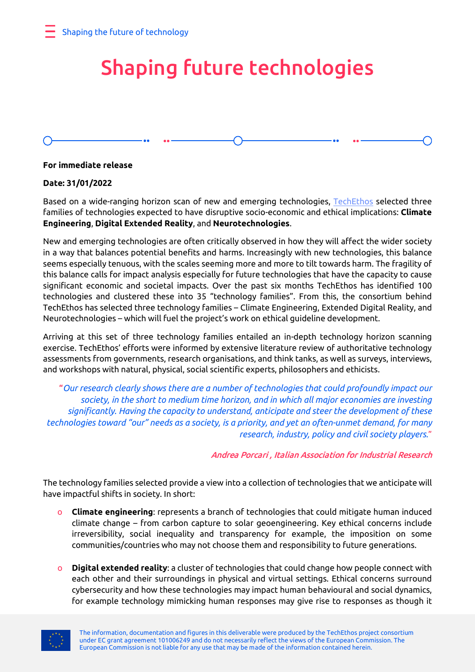# Shaping future technologies

### **For immediate release**

### **Date: 31/01/2022**

Based on a wide-ranging horizon scan of new and emerging technologies, [TechEthos](https://www.techethos.eu/) selected three families of technologies expected to have disruptive socio-economic and ethical implications: **Climate Engineering**, **Digital Extended Reality**, and **Neurotechnologies**.

New and emerging technologies are often critically observed in how they will affect the wider society in a way that balances potential benefits and harms. Increasingly with new technologies, this balance seems especially tenuous, with the scales seeming more and more to tilt towards harm. The fragility of this balance calls for impact analysis especially for future technologies that have the capacity to cause significant economic and societal impacts. Over the past six months TechEthos has identified 100 technologies and clustered these into 35 "technology families". From this, the consortium behind TechEthos has selected three technology families – Climate Engineering, Extended Digital Reality, and Neurotechnologies – which will fuel the project's work on ethical guideline development.

Arriving at this set of three technology families entailed an in-depth technology horizon scanning exercise. TechEthos' efforts were informed by extensive literature review of authoritative technology assessments from governments, research organisations, and think tanks, as well as surveys, interviews, and workshops with natural, physical, social scientific experts, philosophers and ethicists.

"*Our research clearly shows there are a number of technologies that could profoundly impact our society, in the short to medium time horizon, and in which all major economies are investing significantly. Having the capacity to understand, anticipate and steer the development of these technologies toward "our" needs as a society, is a priority, and yet an often-unmet demand, for many research, industry, policy and civil society players.*"

Andrea Porcari , Italian Association for Industrial Research

The technology families selected provide a view into a collection of technologies that we anticipate will have impactful shifts in society. In short:

- o **Climate engineering**: represents a branch of technologies that could mitigate human induced climate change – from carbon capture to solar geoengineering. Key ethical concerns include irreversibility, social inequality and transparency for example, the imposition on some communities/countries who may not choose them and responsibility to future generations.
- **Digital extended reality**: a cluster of technologies that could change how people connect with each other and their surroundings in physical and virtual settings. Ethical concerns surround cybersecurity and how these technologies may impact human behavioural and social dynamics, for example technology mimicking human responses may give rise to responses as though it

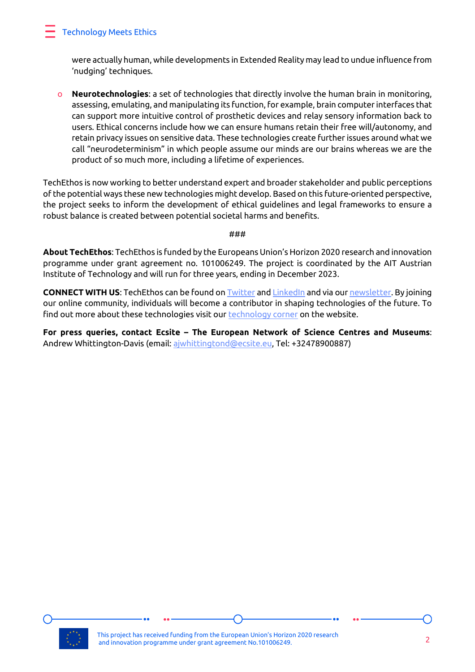## Technology Meets Ethics

were actually human, while developments in Extended Reality may lead to undue influence from 'nudging' techniques.

o **Neurotechnologies**: a set of technologies that directly involve the human brain in monitoring, assessing, emulating, and manipulating its function, for example, brain computer interfaces that can support more intuitive control of prosthetic devices and relay sensory information back to users. Ethical concerns include how we can ensure humans retain their free will/autonomy, and retain privacy issues on sensitive data. These technologies create further issues around what we call "neurodeterminism" in which people assume our minds are our brains whereas we are the product of so much more, including a lifetime of experiences.

TechEthos is now working to better understand expert and broader stakeholder and public perceptions of the potential ways these new technologies might develop. Based on this future-oriented perspective, the project seeks to inform the development of ethical guidelines and legal frameworks to ensure a robust balance is created between potential societal harms and benefits.

#### ###

**About TechEthos**: TechEthos is funded by the Europeans Union's Horizon 2020 research and innovation programme under grant agreement no. 101006249. The project is coordinated by the AIT Austrian Institute of Technology and will run for three years, ending in December 2023.

**CONNECT WITH US**: TechEthos can be found o[n Twitter](https://twitter.com/TechEthosEU) an[d LinkedIn](https://www.linkedin.com/company/techethoseu) and via our [newsletter.](https://techethoseu.m-pages.com/GzEgPP/techethos-subscribe) By joining our online community, individuals will become a contributor in shaping technologies of the future. To find out more about these technologies visit our [technology corner](https://www.techethos.eu/technology-corner/) on the website.

**For press queries, contact Ecsite – The European Network of Science Centres and Museums**: Andrew Whittington-Davis (email: [ajwhittingtond@ecsite.eu,](mailto:ajwhittingtond@ecsite.eu) Tel: +32478900887)